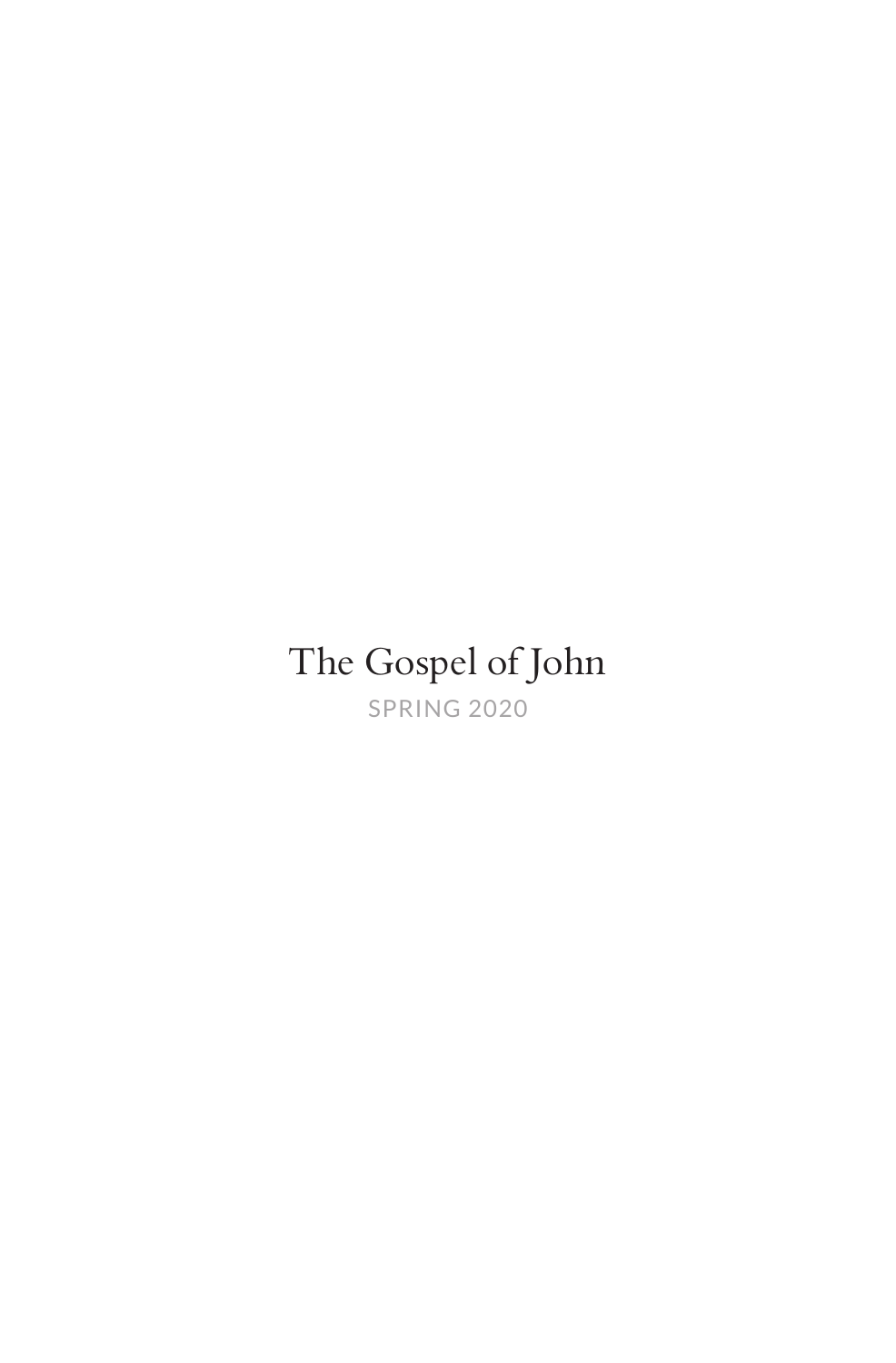## The Gospel of John

SPRING 2020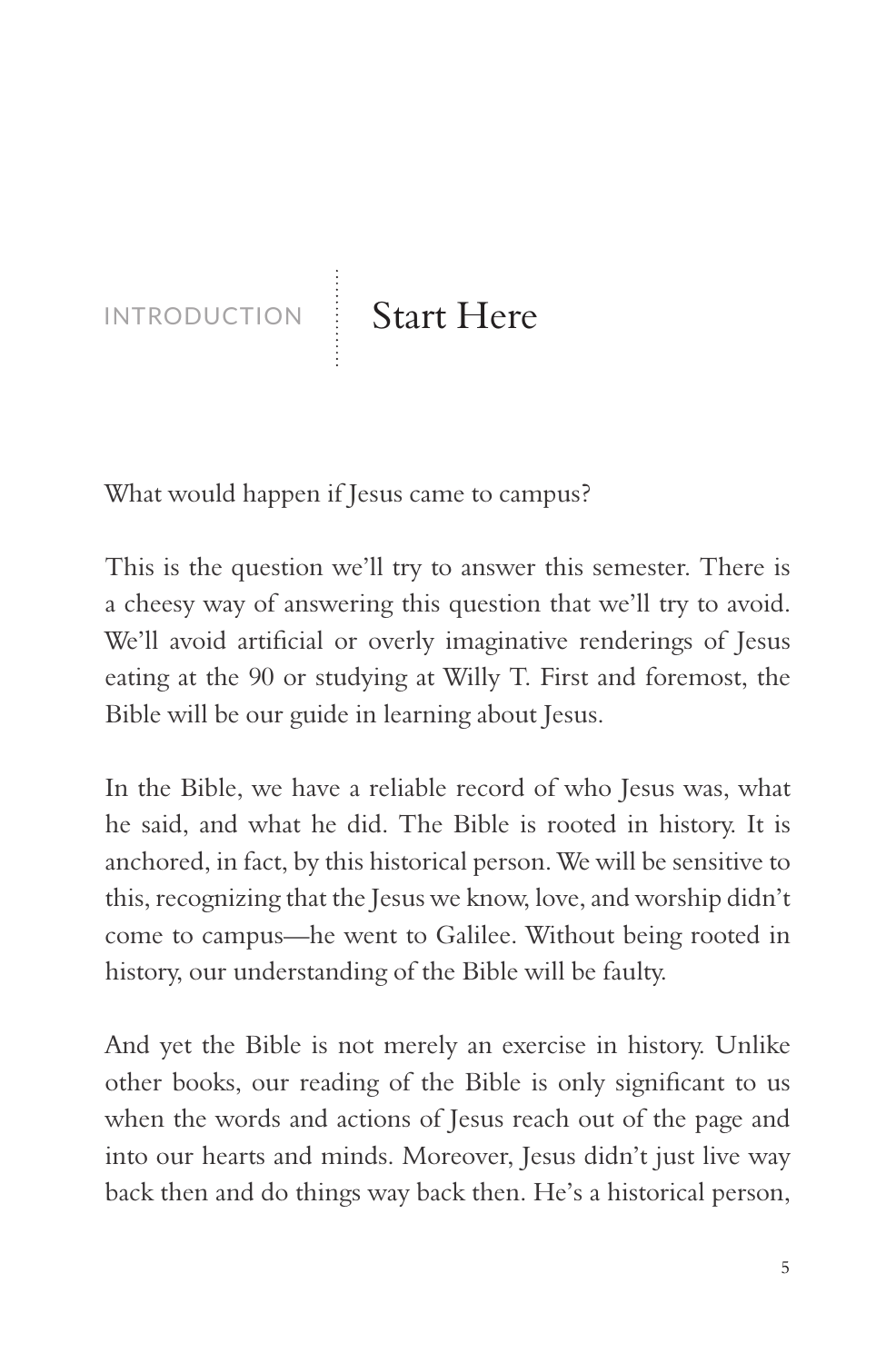INTRODUCTION Start Here

What would happen if Jesus came to campus?

This is the question we'll try to answer this semester. There is a cheesy way of answering this question that we'll try to avoid. We'll avoid artificial or overly imaginative renderings of Jesus eating at the 90 or studying at Willy T. First and foremost, the Bible will be our guide in learning about Jesus.

In the Bible, we have a reliable record of who Jesus was, what he said, and what he did. The Bible is rooted in history. It is anchored, in fact, by this historical person. We will be sensitive to this, recognizing that the Jesus we know, love, and worship didn't come to campus—he went to Galilee. Without being rooted in history, our understanding of the Bible will be faulty.

And yet the Bible is not merely an exercise in history. Unlike other books, our reading of the Bible is only significant to us when the words and actions of Jesus reach out of the page and into our hearts and minds. Moreover, Jesus didn't just live way back then and do things way back then. He's a historical person,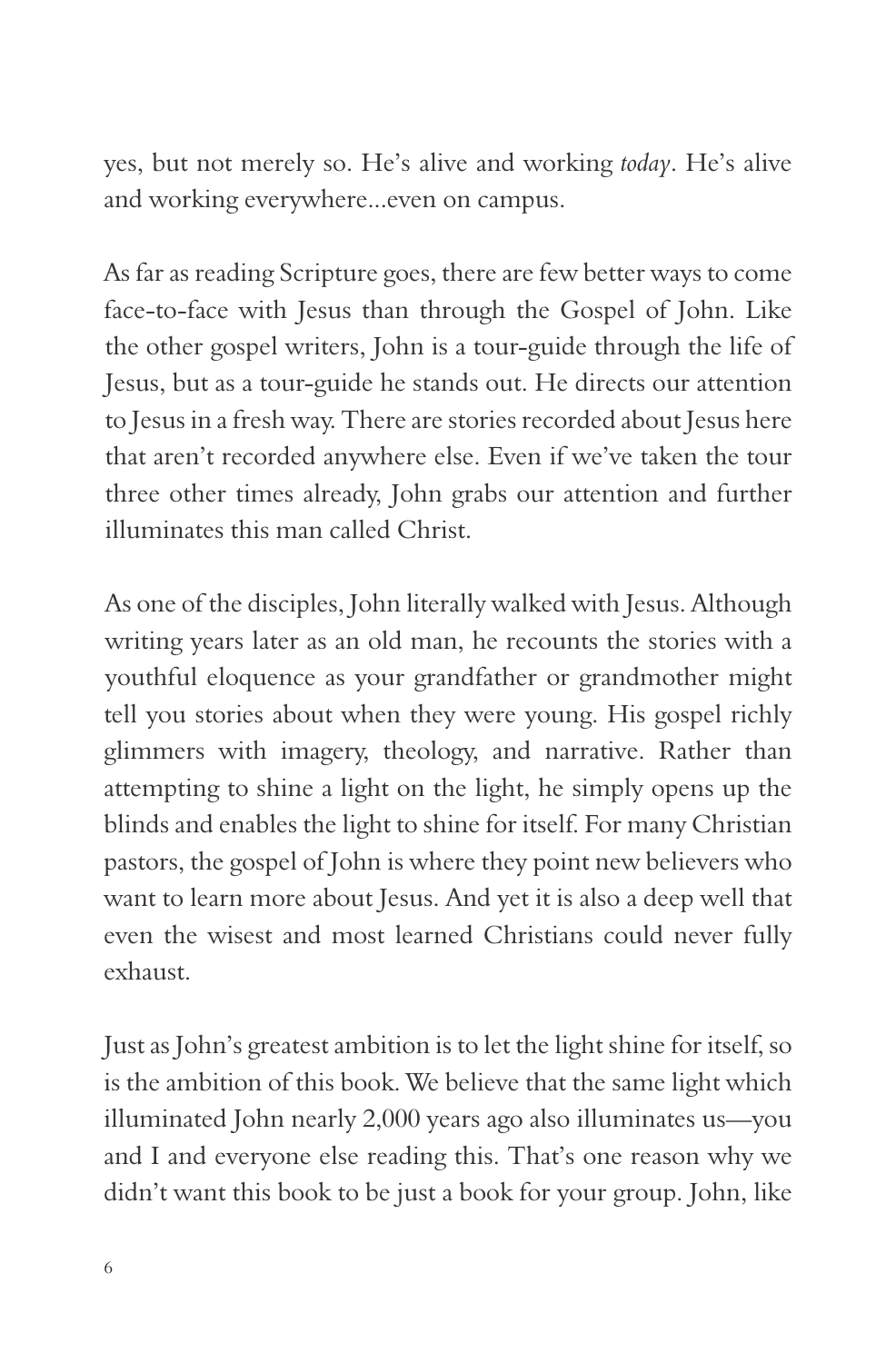yes, but not merely so. He's alive and working *today*. He's alive and working everywhere...even on campus.

As far as reading Scripture goes, there are few better ways to come face-to-face with Jesus than through the Gospel of John. Like the other gospel writers, John is a tour-guide through the life of Jesus, but as a tour-guide he stands out. He directs our attention to Jesus in a fresh way. There are stories recorded about Jesus here that aren't recorded anywhere else. Even if we've taken the tour three other times already, John grabs our attention and further illuminates this man called Christ.

As one of the disciples, John literally walked with Jesus. Although writing years later as an old man, he recounts the stories with a youthful eloquence as your grandfather or grandmother might tell you stories about when they were young. His gospel richly glimmers with imagery, theology, and narrative. Rather than attempting to shine a light on the light, he simply opens up the blinds and enables the light to shine for itself. For many Christian pastors, the gospel of John is where they point new believers who want to learn more about Jesus. And yet it is also a deep well that even the wisest and most learned Christians could never fully exhaust.

Just as John's greatest ambition is to let the light shine for itself, so is the ambition of this book. We believe that the same light which illuminated John nearly 2,000 years ago also illuminates us—you and I and everyone else reading this. That's one reason why we didn't want this book to be just a book for your group. John, like